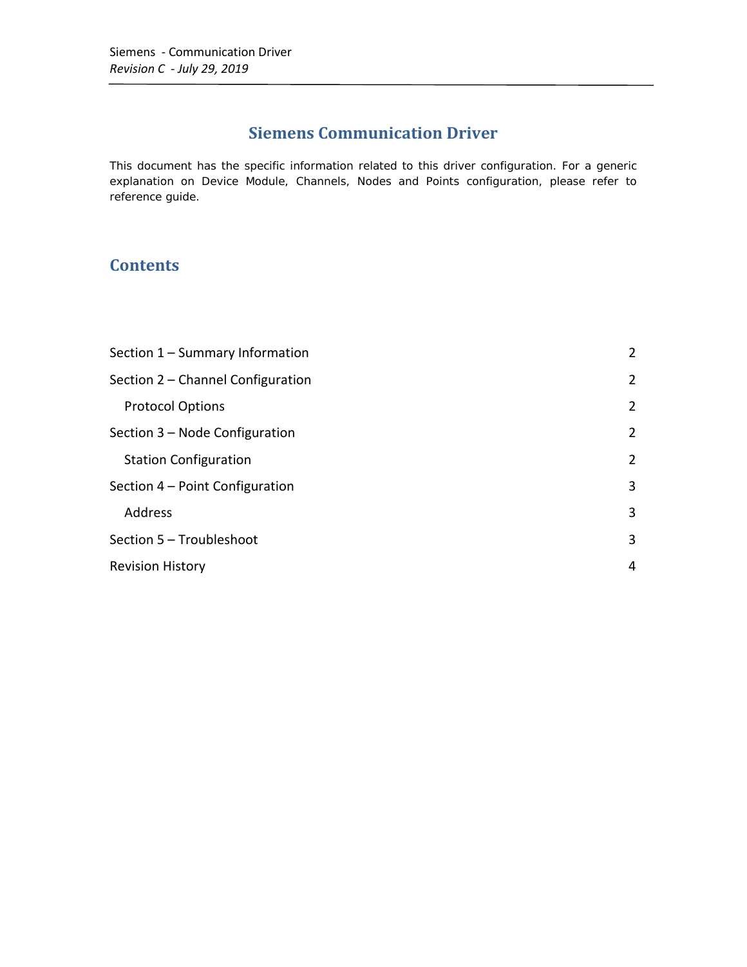## **Siemens Communication Driver**

This document has the specific information related to this driver configuration. For a generic explanation on Device Module, Channels, Nodes and Points configuration, please refer to reference guide.

## **Contents**

| Section 1 - Summary Information   |                |
|-----------------------------------|----------------|
| Section 2 - Channel Configuration |                |
| <b>Protocol Options</b>           | $\overline{2}$ |
| Section 3 – Node Configuration    | $\overline{2}$ |
| <b>Station Configuration</b>      | 2              |
| Section 4 – Point Configuration   |                |
| Address                           | 3              |
| Section 5 - Troubleshoot          |                |
| <b>Revision History</b>           |                |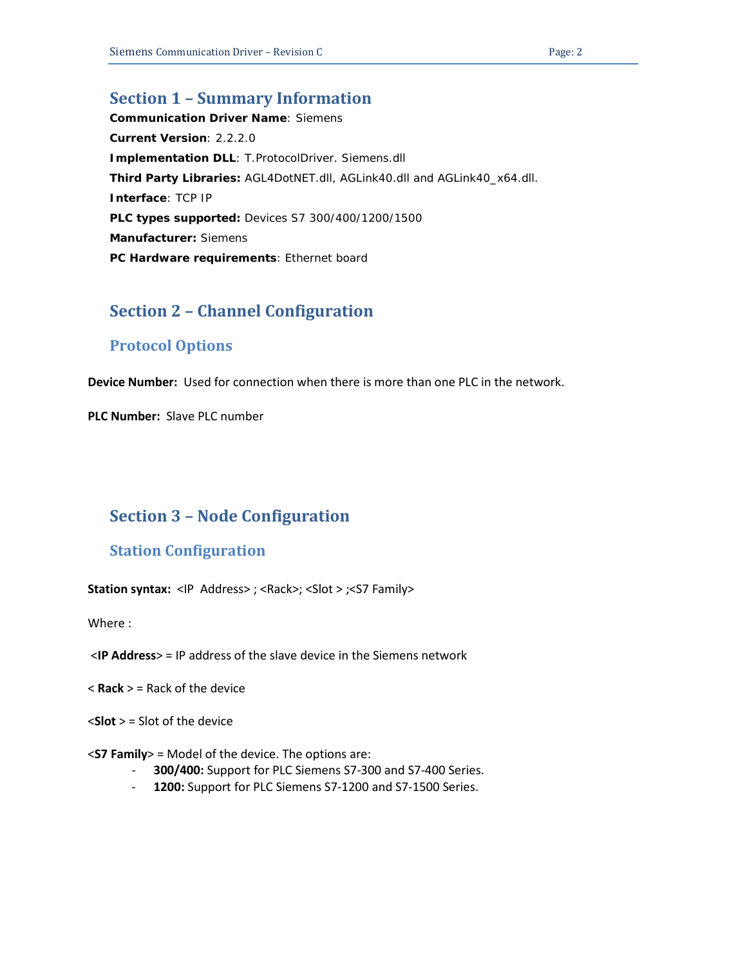## <span id="page-1-0"></span>**Section 1 – Summary Information**

**Communication Driver Name**: Siemens **Current Version**: 2.2.2.0 **Implementation DLL**: T.ProtocolDriver. Siemens.dll **Third Party Libraries:** AGL4DotNET.dll, AGLink40.dll and AGLink40\_x64.dll. **Interface**: TCP IP **PLC types supported:** Devices S7 300/400/1200/1500 **Manufacturer:** Siemens **PC Hardware requirements**: Ethernet board

## <span id="page-1-1"></span>**Section 2 – Channel Configuration**

## <span id="page-1-2"></span>**Protocol Options**

**Device Number:** Used for connection when there is more than one PLC in the network.

**PLC Number:** Slave PLC number

## <span id="page-1-3"></span>**Section 3 – Node Configuration**

### <span id="page-1-4"></span>**Station Configuration**

**Station syntax:** <IP Address>; <Rack>; <Slot > ;<S7 Family>

Where :

- <**IP Address**> = IP address of the slave device in the Siemens network
- < **Rack** > = Rack of the device
- <**Slot** > = Slot of the device
- <**S7 Family**> = Model of the device. The options are:
	- **300/400:** Support for PLC Siemens S7-300 and S7-400 Series.
	- **1200:** Support for PLC Siemens S7-1200 and S7-1500 Series.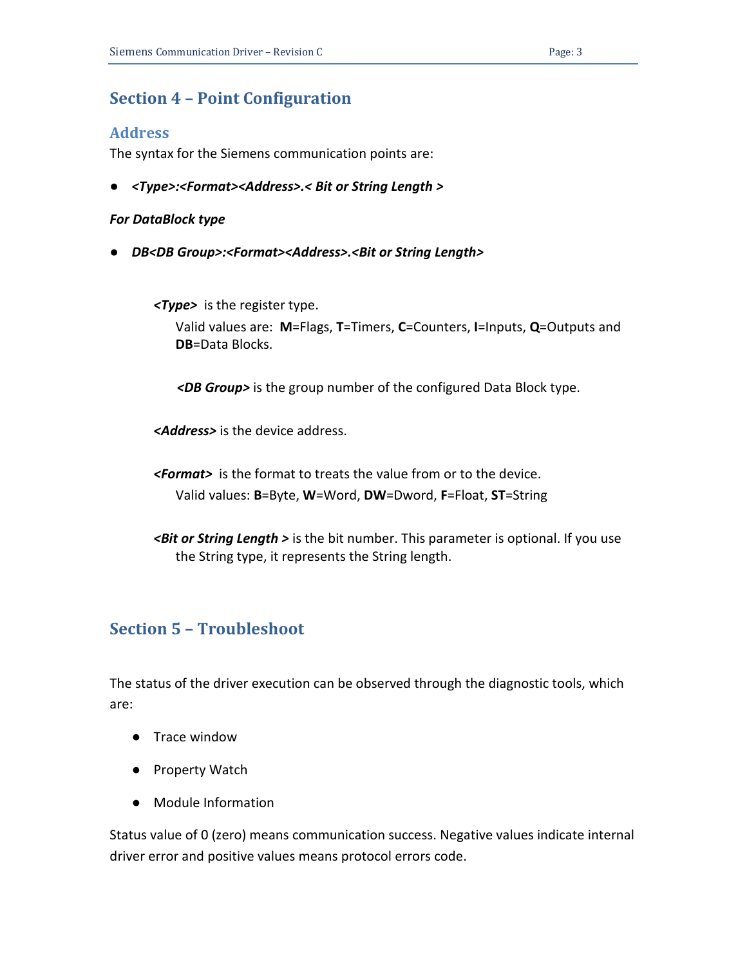## <span id="page-2-0"></span>**Section 4 – Point Configuration**

#### <span id="page-2-1"></span>**Address**

The syntax for the Siemens communication points are:

● *<Type>:<Format><Address>.< Bit or String Length >*

#### *For DataBlock type*

● *DB<DB Group>:<Format><Address>.<Bit or String Length>*

*<Type>* is the register type.

Valid values are: **M**=Flags, **T**=Timers, **C**=Counters, **I**=Inputs, **Q**=Outputs and **DB**=Data Blocks.

 *<DB Group>* is the group number of the configured Data Block type.

*<Address>* is the device address.

*<Format>* is the format to treats the value from or to the device. Valid values: **B**=Byte, **W**=Word, **DW**=Dword, **F**=Float, **ST**=String

*<Bit or String Length >* is the bit number. This parameter is optional. If you use the String type, it represents the String length.

## <span id="page-2-2"></span>**Section 5 – Troubleshoot**

The status of the driver execution can be observed through the diagnostic tools, which are:

- Trace window
- Property Watch
- Module Information

Status value of 0 (zero) means communication success. Negative values indicate internal driver error and positive values means protocol errors code.